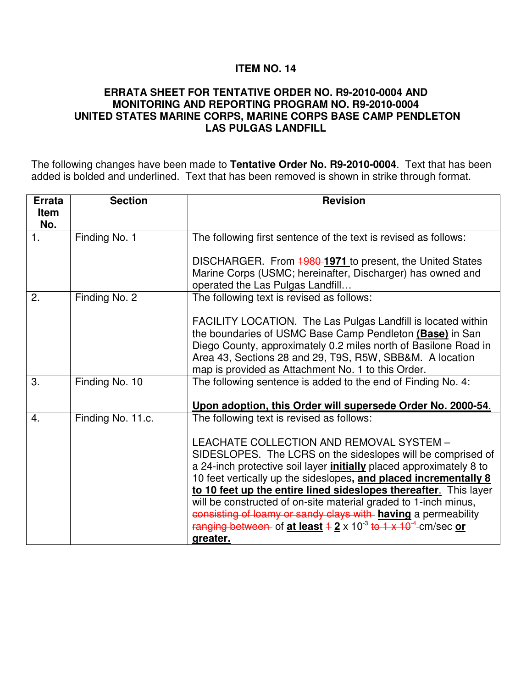## **ITEM NO. 14**

## **ERRATA SHEET FOR TENTATIVE ORDER NO. R9-2010-0004 AND MONITORING AND REPORTING PROGRAM NO. R9-2010-0004 UNITED STATES MARINE CORPS, MARINE CORPS BASE CAMP PENDLETON LAS PULGAS LANDFILL**

The following changes have been made to **Tentative Order No. R9-2010-0004**. Text that has been added is bolded and underlined. Text that has been removed is shown in strike through format.

| <b>Errata</b>    | <b>Section</b>    | <b>Revision</b>                                                                  |
|------------------|-------------------|----------------------------------------------------------------------------------|
| <b>Item</b>      |                   |                                                                                  |
| No.              |                   |                                                                                  |
| 1.               | Finding No. 1     | The following first sentence of the text is revised as follows:                  |
|                  |                   |                                                                                  |
|                  |                   | DISCHARGER. From <b>1980-1971</b> to present, the United States                  |
|                  |                   | Marine Corps (USMC; hereinafter, Discharger) has owned and                       |
|                  |                   | operated the Las Pulgas Landfill                                                 |
| 2.               | Finding No. 2     | The following text is revised as follows:                                        |
|                  |                   | FACILITY LOCATION. The Las Pulgas Landfill is located within                     |
|                  |                   | the boundaries of USMC Base Camp Pendleton (Base) in San                         |
|                  |                   | Diego County, approximately 0.2 miles north of Basilone Road in                  |
|                  |                   | Area 43, Sections 28 and 29, T9S, R5W, SBB&M. A location                         |
|                  |                   | map is provided as Attachment No. 1 to this Order.                               |
| 3.               | Finding No. 10    | The following sentence is added to the end of Finding No. 4:                     |
|                  |                   |                                                                                  |
|                  |                   | Upon adoption, this Order will supersede Order No. 2000-54.                      |
| $\overline{4}$ . | Finding No. 11.c. | The following text is revised as follows:                                        |
|                  |                   | LEACHATE COLLECTION AND REMOVAL SYSTEM -                                         |
|                  |                   | SIDESLOPES. The LCRS on the sideslopes will be comprised of                      |
|                  |                   | a 24-inch protective soil layer <i>initially</i> placed approximately 8 to       |
|                  |                   | 10 feet vertically up the sideslopes, and placed incrementally 8                 |
|                  |                   | to 10 feet up the entire lined sideslopes thereafter. This layer                 |
|                  |                   | will be constructed of on-site material graded to 1-inch minus,                  |
|                  |                   | consisting of loamy or sandy clays with having a permeability                    |
|                  |                   | ranging between of at least $42 \times 10^{-3}$ to $1 \times 10^{-4}$ -cm/sec or |
|                  |                   | greater.                                                                         |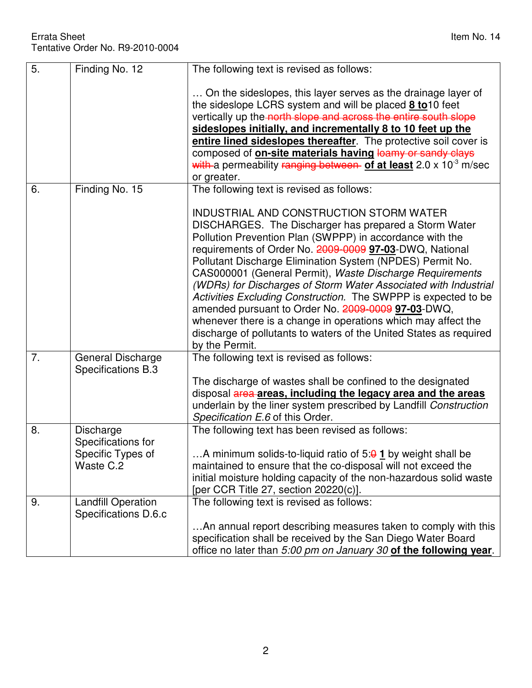| 5. | Finding No. 12                                                    | The following text is revised as follows:                                                                                                                                                                                                                                                                                                                                                                                                                                                                                                                                                                                                                                                            |
|----|-------------------------------------------------------------------|------------------------------------------------------------------------------------------------------------------------------------------------------------------------------------------------------------------------------------------------------------------------------------------------------------------------------------------------------------------------------------------------------------------------------------------------------------------------------------------------------------------------------------------------------------------------------------------------------------------------------------------------------------------------------------------------------|
|    |                                                                   | On the sideslopes, this layer serves as the drainage layer of<br>the sideslope LCRS system and will be placed 8 to 10 feet<br>vertically up the north slope and across the entire south slope<br>sideslopes initially, and incrementally 8 to 10 feet up the<br>entire lined sideslopes thereafter. The protective soil cover is<br>composed of <b>on-site materials having loamy or sandy clays</b><br>with a permeability ranging between of at least $2.0 \times 10^{-3}$ m/sec<br>or greater.                                                                                                                                                                                                    |
| 6. | Finding No. 15                                                    | The following text is revised as follows:                                                                                                                                                                                                                                                                                                                                                                                                                                                                                                                                                                                                                                                            |
|    |                                                                   | INDUSTRIAL AND CONSTRUCTION STORM WATER<br>DISCHARGES. The Discharger has prepared a Storm Water<br>Pollution Prevention Plan (SWPPP) in accordance with the<br>requirements of Order No. 2009-0009 97-03-DWQ, National<br>Pollutant Discharge Elimination System (NPDES) Permit No.<br>CAS000001 (General Permit), Waste Discharge Requirements<br>(WDRs) for Discharges of Storm Water Associated with Industrial<br>Activities Excluding Construction. The SWPPP is expected to be<br>amended pursuant to Order No. 2009-0009 97-03-DWQ,<br>whenever there is a change in operations which may affect the<br>discharge of pollutants to waters of the United States as required<br>by the Permit. |
| 7. | General Discharge<br>Specifications B.3                           | The following text is revised as follows:<br>The discharge of wastes shall be confined to the designated<br>disposal area areas, including the legacy area and the areas                                                                                                                                                                                                                                                                                                                                                                                                                                                                                                                             |
|    |                                                                   | underlain by the liner system prescribed by Landfill Construction<br>Specification E.6 of this Order.                                                                                                                                                                                                                                                                                                                                                                                                                                                                                                                                                                                                |
| 8. | Discharge<br>Specifications for<br>Specific Types of<br>Waste C.2 | The following text has been revised as follows:<br>A minimum solids-to-liquid ratio of $5:9$ 1 by weight shall be<br>maintained to ensure that the co-disposal will not exceed the<br>initial moisture holding capacity of the non-hazardous solid waste<br>[per CCR Title 27, section 20220(c)].                                                                                                                                                                                                                                                                                                                                                                                                    |
| 9. | <b>Landfill Operation</b><br>Specifications D.6.c                 | The following text is revised as follows:<br>An annual report describing measures taken to comply with this<br>specification shall be received by the San Diego Water Board<br>office no later than 5:00 pm on January 30 of the following year.                                                                                                                                                                                                                                                                                                                                                                                                                                                     |
|    |                                                                   |                                                                                                                                                                                                                                                                                                                                                                                                                                                                                                                                                                                                                                                                                                      |

2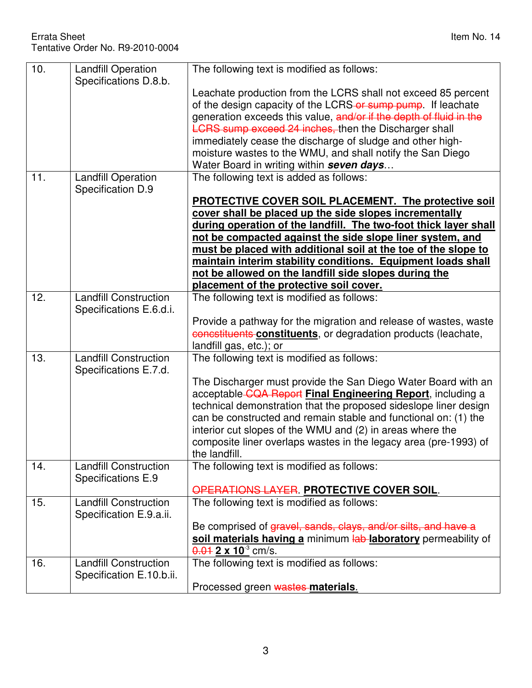| 10. | <b>Landfill Operation</b><br>Specifications D.8.b.       | The following text is modified as follows:                                                                                                                                                                                                                                                                                                                                                                                                                                            |
|-----|----------------------------------------------------------|---------------------------------------------------------------------------------------------------------------------------------------------------------------------------------------------------------------------------------------------------------------------------------------------------------------------------------------------------------------------------------------------------------------------------------------------------------------------------------------|
|     |                                                          | Leachate production from the LCRS shall not exceed 85 percent<br>of the design capacity of the LCRS-or sump pump. If leachate<br>generation exceeds this value, and/or if the depth of fluid in the<br><b>LCRS</b> sump exceed 24 inches, then the Discharger shall<br>immediately cease the discharge of sludge and other high-<br>moisture wastes to the WMU, and shall notify the San Diego<br>Water Board in writing within seven days                                            |
| 11. | <b>Landfill Operation</b><br>Specification D.9           | The following text is added as follows:                                                                                                                                                                                                                                                                                                                                                                                                                                               |
|     |                                                          | PROTECTIVE COVER SOIL PLACEMENT. The protective soil<br>cover shall be placed up the side slopes incrementally<br>during operation of the landfill. The two-foot thick layer shall<br>not be compacted against the side slope liner system, and<br>must be placed with additional soil at the toe of the slope to<br>maintain interim stability conditions. Equipment loads shall<br>not be allowed on the landfill side slopes during the<br>placement of the protective soil cover. |
| 12. | <b>Landfill Construction</b><br>Specifications E.6.d.i.  | The following text is modified as follows:                                                                                                                                                                                                                                                                                                                                                                                                                                            |
|     |                                                          | Provide a pathway for the migration and release of wastes, waste<br>concstituents constituents, or degradation products (leachate,<br>landfill gas, etc.); or                                                                                                                                                                                                                                                                                                                         |
| 13. | <b>Landfill Construction</b><br>Specifications E.7.d.    | The following text is modified as follows:                                                                                                                                                                                                                                                                                                                                                                                                                                            |
|     |                                                          | The Discharger must provide the San Diego Water Board with an<br>acceptable-CQA Report Final Engineering Report, including a<br>technical demonstration that the proposed sideslope liner design<br>can be constructed and remain stable and functional on: (1) the<br>interior cut slopes of the WMU and (2) in areas where the<br>composite liner overlaps wastes in the legacy area (pre-1993) of<br>the landfill.                                                                 |
| 14. | <b>Landfill Construction</b><br>Specifications E.9       | The following text is modified as follows:                                                                                                                                                                                                                                                                                                                                                                                                                                            |
| 15. | <b>Landfill Construction</b><br>Specification E.9.a.ii.  | OPERATIONS LAYER. PROTECTIVE COVER SOIL.<br>The following text is modified as follows:                                                                                                                                                                                                                                                                                                                                                                                                |
|     |                                                          | Be comprised of gravel, sands, clays, and/or silts, and have a<br>soil materials having a minimum lab laboratory permeability of<br>$\frac{0.01}{2 \times 10^3}$ cm/s.                                                                                                                                                                                                                                                                                                                |
| 16. | <b>Landfill Construction</b><br>Specification E.10.b.ii. | The following text is modified as follows:                                                                                                                                                                                                                                                                                                                                                                                                                                            |
|     |                                                          | Processed green wastes materials.                                                                                                                                                                                                                                                                                                                                                                                                                                                     |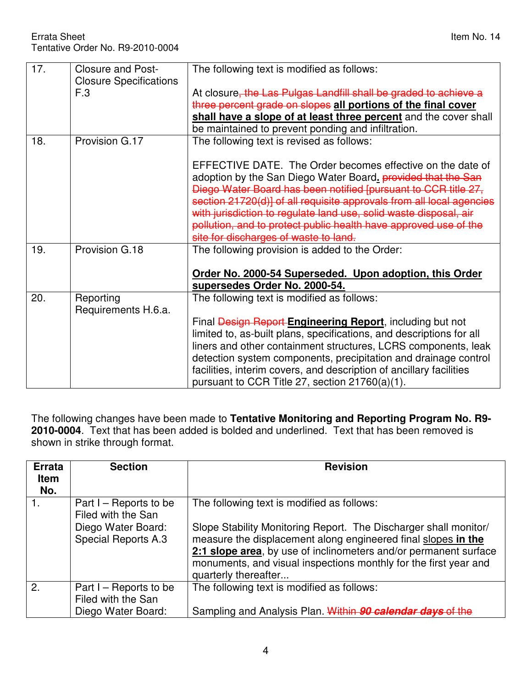| 17. | <b>Closure and Post-</b><br><b>Closure Specifications</b> | The following text is modified as follows:                                                                                                                                                                                                                                                                                                |
|-----|-----------------------------------------------------------|-------------------------------------------------------------------------------------------------------------------------------------------------------------------------------------------------------------------------------------------------------------------------------------------------------------------------------------------|
|     | F.3                                                       | At closure, the Las Pulgas Landfill shall be graded to achieve a                                                                                                                                                                                                                                                                          |
|     |                                                           | three percent grade on slopes all portions of the final cover                                                                                                                                                                                                                                                                             |
|     |                                                           | shall have a slope of at least three percent and the cover shall                                                                                                                                                                                                                                                                          |
|     |                                                           | be maintained to prevent ponding and infiltration.                                                                                                                                                                                                                                                                                        |
| 18. | Provision G.17                                            | The following text is revised as follows:                                                                                                                                                                                                                                                                                                 |
|     |                                                           |                                                                                                                                                                                                                                                                                                                                           |
|     |                                                           | EFFECTIVE DATE. The Order becomes effective on the date of<br>adoption by the San Diego Water Board, provided that the San<br>Diego Water Board has been notified [pursuant to CCR title 27,<br>section 21720(d)] of all requisite approvals from all local agencies<br>with jurisdiction to regulate land use, solid waste disposal, air |
|     |                                                           | pollution, and to protect public health have approved use of the                                                                                                                                                                                                                                                                          |
|     |                                                           | site for discharges of waste to land.                                                                                                                                                                                                                                                                                                     |
| 19. | Provision G.18                                            | The following provision is added to the Order:                                                                                                                                                                                                                                                                                            |
|     |                                                           | Order No. 2000-54 Superseded. Upon adoption, this Order                                                                                                                                                                                                                                                                                   |
|     |                                                           | supersedes Order No. 2000-54.                                                                                                                                                                                                                                                                                                             |
| 20. | Reporting<br>Requirements H.6.a.                          | The following text is modified as follows:                                                                                                                                                                                                                                                                                                |
|     |                                                           | Final Design Report Engineering Report, including but not                                                                                                                                                                                                                                                                                 |
|     |                                                           | limited to, as-built plans, specifications, and descriptions for all                                                                                                                                                                                                                                                                      |
|     |                                                           | liners and other containment structures, LCRS components, leak                                                                                                                                                                                                                                                                            |
|     |                                                           | detection system components, precipitation and drainage control                                                                                                                                                                                                                                                                           |
|     |                                                           | facilities, interim covers, and description of ancillary facilities<br>pursuant to CCR Title 27, section 21760(a)(1).                                                                                                                                                                                                                     |

The following changes have been made to **Tentative Monitoring and Reporting Program No. R9- 2010-0004**. Text that has been added is bolded and underlined. Text that has been removed is shown in strike through format.

| <b>Errata</b><br><b>Item</b><br>No. | <b>Section</b>                                                                                     | <b>Revision</b>                                                                                                                                                                                                                                                                                                                                 |
|-------------------------------------|----------------------------------------------------------------------------------------------------|-------------------------------------------------------------------------------------------------------------------------------------------------------------------------------------------------------------------------------------------------------------------------------------------------------------------------------------------------|
| 1.                                  | Part $I -$ Reports to be<br>Filed with the San<br>Diego Water Board:<br><b>Special Reports A.3</b> | The following text is modified as follows:<br>Slope Stability Monitoring Report. The Discharger shall monitor/<br>measure the displacement along engineered final slopes in the<br>2:1 slope area, by use of inclinometers and/or permanent surface<br>monuments, and visual inspections monthly for the first year and<br>quarterly thereafter |
| 2.                                  | Part I – Reports to be<br>Filed with the San<br>Diego Water Board:                                 | The following text is modified as follows:<br>Sampling and Analysis Plan. Within 90 calendar days of the                                                                                                                                                                                                                                        |